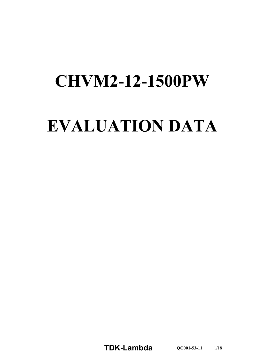# **CHVM2-12-1500PW**

# **EVALUATION DATA**

**TDKLambda QC0015311** 1/18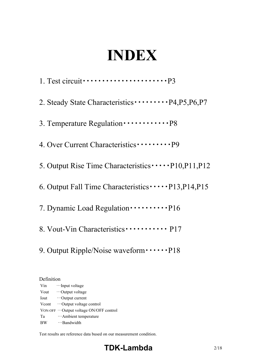# **INDEX**

1. Test circuit・・・・・・・・・・・・・・・・・・・・・・P3 2. Steady State Characteristics・・・・・・・・・P4,P5,P6,P7 3. Temperature Regulation・・・・・・・・・・・・P8 4. Over Current Characteristics・・・・・・・・・P9 5. Output Rise Time Characteristics · · · · · P10, P11, P12 6. Output Fall Time Characteristics $\cdots$ P13,P14,P15 7. Dynamic Load Regulation  $\cdots \cdots \cdots \cdot P16$ 8. Vout-Vin Characteristics · · · · · · · · · · · · P17

9. Output Ripple/Noise waveform  $\cdots$  P18

Definition Vin …Input voltage Vout …Output voltage Iout …Output current Vcont …Output voltage control VON-OFF …Output voltage ON/OFF control Ta …Ambient temperature BW …Bandwidth

Test results are reference data bused on our measurement condition.

# **TDK-Lambda** 2/18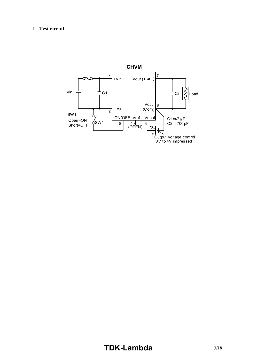### **1. Test circuit**



# **TDK-Lambda** 3/18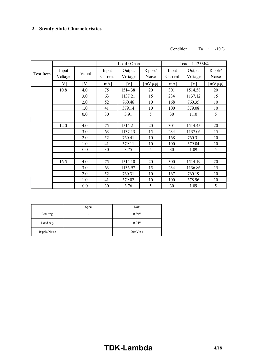#### Condition Ta : 10℃

|           |                  |       |                    | Load: Open        |                  |                    | Load: $1.125M\Omega$ |                  |
|-----------|------------------|-------|--------------------|-------------------|------------------|--------------------|----------------------|------------------|
| Test Item | Input<br>Voltage | Vcont | Input<br>Current   | Output<br>Voltage | Ripple/<br>Noise | Input<br>Current   | Output<br>Voltage    | Ripple/<br>Noise |
|           | [V]              | [V]   | $\lceil mA \rceil$ | [V]               | $[mV p-p]$       | $\lceil mA \rceil$ | [V]                  | $[mV p-p]$       |
|           | 10.8             | 4.0   | 75                 | 1514.38           | 20               | 301                | 1514.58              | 20               |
|           |                  | 3.0   | 63                 | 1137.21           | 15               | 234                | 1137.12              | 15               |
|           |                  | 2.0   | 52                 | 760.46            | 10               | 168                | 760.35               | 10               |
|           |                  | 1.0   | 41                 | 379.14            | 10               | 100                | 379.08               | 10               |
|           |                  | 0.0   | 30                 | 3.91              | 5                | 30                 | 1.10                 | 5                |
|           |                  |       |                    |                   |                  |                    |                      |                  |
|           | 12.0             | 4.0   | 75                 | 1514.21           | 20               | 301                | 1514.45              | 20               |
|           |                  | 3.0   | 63                 | 1137.13           | 15               | 234                | 1137.06              | 15               |
|           |                  | 2.0   | 52                 | 760.41            | 10               | 168                | 760.31               | 10               |
|           |                  | 1.0   | 41                 | 379.11            | 10               | 100                | 379.04               | 10               |
|           |                  | 0.0   | 30                 | 3.75              | 5                | 30                 | 1.09                 | 5                |
|           |                  |       |                    |                   |                  |                    |                      |                  |
|           | 16.5             | 4.0   | 75                 | 1514.10           | 20               | 300                | 1514.19              | 20               |
|           |                  | 3.0   | 63                 | 1136.97           | 15               | 234                | 1136.86              | 15               |
|           |                  | 2.0   | 52                 | 760.31            | 10               | 167                | 760.19               | 10               |
|           |                  | 1.0   | 41                 | 379.02            | 10               | 100                | 378.96               | 10               |
|           |                  | 0.0   | 30                 | 3.76              | 5                | 30                 | 1.09                 | 5                |

|              | Spec | Data       |
|--------------|------|------------|
| Line reg.    | -    | 0.39V      |
| Load reg.    | -    | 0.24V      |
| Ripple/Noise | -    | $20mV$ p-p |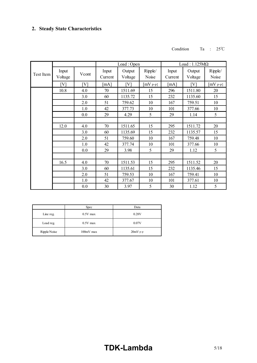#### Condition Ta : 25℃

|           |                   |       |              | Load: Open |            |         | Load: $1.125M\Omega$ |            |
|-----------|-------------------|-------|--------------|------------|------------|---------|----------------------|------------|
| Test Item | Input             | Vcont | Input        | Output     | Ripple/    | Input   | Output               | Ripple/    |
|           | Voltage           |       | Current      | Voltage    | Noise      | Current | Voltage              | Noise      |
|           | $\lceil V \rceil$ | [V]   | $\lceil$ mA] | [V]        | $[mV p-p]$ | [mA]    | [V]                  | $[mV p-p]$ |
|           | 10.8              | 4.0   | 70           | 1511.69    | 15         | 296     | 1511.80              | 20         |
|           |                   | 3.0   | 60           | 1135.72    | 15         | 232     | 1135.60              | 15         |
|           |                   | 2.0   | 51           | 759.62     | 10         | 167     | 759.51               | 10         |
|           |                   | 1.0   | 42           | 377.73     | 10         | 101     | 377.66               | 10         |
|           |                   | 0.0   | 29           | 4.29       | 5          | 29      | 1.14                 | 5          |
|           |                   |       |              |            |            |         |                      |            |
|           | 12.0              | 4.0   | 70           | 1511.65    | 15         | 295     | 1511.72              | 20         |
|           |                   | 3.0   | 60           | 1135.69    | 15         | 232     | 1135.57              | 15         |
|           |                   | 2.0   | 51           | 759.60     | 10         | 167     | 759.48               | 10         |
|           |                   | 1.0   | 42           | 377.74     | 10         | 101     | 377.66               | 10         |
|           |                   | 0.0   | 29           | 3.98       | 5          | 29      | 1.12                 | 5          |
|           |                   |       |              |            |            |         |                      |            |
|           | 16.5              | 4.0   | 70           | 1511.53    | 15         | 295     | 1511.52              | 20         |
|           |                   | 3.0   | 60           | 1135.61    | 15         | 232     | 1135.46              | 15         |
|           |                   | 2.0   | 51           | 759.53     | 10         | 167     | 759.41               | 10         |
|           |                   | 1.0   | 42           | 377.67     | 10         | 101     | 377.61               | 10         |
|           |                   | 0.0   | 30           | 3.97       | 5          | 30      | 1.12                 | 5          |

|              | Spec        | Data       |
|--------------|-------------|------------|
| Line reg.    | $0.5V$ max  | 0.28V      |
| Load reg.    | $0.5V$ max  | 0.07V      |
| Ripple/Noise | $100mV$ max | $20mV$ p-p |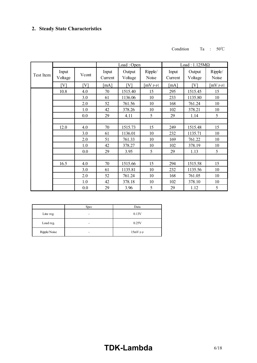#### Condition Ta : 50℃

|           |                  |       |                           | Load: Open        |                  | Load: $1.125M\Omega$ |                   |                  |
|-----------|------------------|-------|---------------------------|-------------------|------------------|----------------------|-------------------|------------------|
| Test Item | Input<br>Voltage | Vcont | Input<br>Current          | Output<br>Voltage | Ripple/<br>Noise | Input<br>Current     | Output<br>Voltage | Ripple/<br>Noise |
|           | [V]              | [V]   | $\lceil \text{mA} \rceil$ | [V]               | $[mV p-p]$       | $\lceil$ mA]         | [V]               | $[mV p-p]$       |
|           | 10.8             | 4.0   | 70                        | 1515.40           | 15               | 295                  | 1515.45           | 15               |
|           |                  | 3.0   | 61                        | 1136.06           | 10               | 233                  | 1135.80           | 10               |
|           |                  | 2.0   | 52                        | 761.56            | 10               | 168                  | 761.24            | 10               |
|           |                  | 1.0   | 42                        | 378.26            | 10               | 102                  | 378.21            | 10               |
|           |                  | 0.0   | 29                        | 4.11              | 5                | 29                   | 1.14              | 5                |
|           |                  |       |                           |                   |                  |                      |                   |                  |
|           | 12.0             | 4.0   | 70                        | 1515.73           | 15               | 249                  | 1515.48           | 15               |
|           |                  | 3.0   | 61                        | 1136.01           | 10               | 232                  | 1135.71           | 10               |
|           |                  | 2.0   | 51                        | 761.33            | 10               | 169                  | 761.22            | 10               |
|           |                  | 1.0   | 42                        | 378.27            | 10               | 102                  | 378.19            | 10               |
|           |                  | 0.0   | 29                        | 3.95              | 5                | 29                   | 1.13              | 5                |
|           |                  |       |                           |                   |                  |                      |                   |                  |
|           | 16.5             | 4.0   | 70                        | 1515.66           | 15               | 294                  | 1515.58           | 15               |
|           |                  | 3.0   | 61                        | 1135.81           | 10               | 232                  | 1135.56           | 10               |
|           |                  | 2.0   | 52                        | 761.24            | 10               | 168                  | 761.05            | 10               |
|           |                  | 1.0   | 42                        | 378.18            | 10               | 102                  | 378.10            | 10               |
|           |                  | 0.0   | 29                        | 3.96              | 5                | 29                   | 1.12              | 5                |

|              | Spec | Data       |
|--------------|------|------------|
| Line reg.    |      | 0.13V      |
| Load reg.    | -    | 0.25V      |
| Ripple/Noise | ۰    | $15mV$ p-p |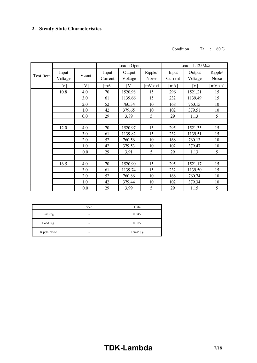#### Condition Ta : 60℃

|           |                   |       |              | Load: Open |            | Load: $1.125M\Omega$ |         |            |
|-----------|-------------------|-------|--------------|------------|------------|----------------------|---------|------------|
|           | Input             |       | Input        | Output     | Ripple/    | Input                | Output  | Ripple/    |
| Test Item | Voltage           | Vcont | Current      | Voltage    | Noise      | Current              | Voltage | Noise      |
|           | $\lceil V \rceil$ | [V]   | $\lceil$ mA] | [V]        | $[mV p-p]$ | $\lceil$ mA]         | [V]     | $[mV p-p]$ |
|           | 10.8              | 4.0   | 70           | 1520.98    | 15         | 296                  | 1521.21 | 15         |
|           |                   | 3.0   | 61           | 1139.66    | 15         | 232                  | 1139.49 | 15         |
|           |                   | 2.0   | 52           | 760.34     | 10         | 168                  | 760.15  | 10         |
|           |                   | 1.0   | 42           | 379.65     | 10         | 102                  | 379.51  | 10         |
|           |                   | 0.0   | 29           | 3.89       | 5          | 29                   | 1.13    | 5          |
|           |                   |       |              |            |            |                      |         |            |
|           | 12.0              | 4.0   | 70           | 1520.97    | 15         | 295                  | 1521.35 | 15         |
|           |                   | 3.0   | 61           | 1139.82    | 15         | 232                  | 1139.51 | 15         |
|           |                   | 2.0   | 52           | 760.56     | 10         | 168                  | 760.13  | 10         |
|           |                   | 1.0   | 42           | 379.53     | 10         | 102                  | 379.47  | 10         |
|           |                   | 0.0   | 29           | 3.91       | 5          | 29                   | 1.13    | 5          |
|           |                   |       |              |            |            |                      |         |            |
|           | 16.5              | 4.0   | 70           | 1520.90    | 15         | 295                  | 1521.17 | 15         |
|           |                   | 3.0   | 61           | 1139.74    | 15         | 232                  | 1139.50 | 15         |
|           |                   | 2.0   | 52           | 760.86     | 10         | 168                  | 760.74  | 10         |
|           |                   | 1.0   | 42           | 379.44     | 10         | 102                  | 379.34  | 10         |
|           |                   | 0.0   | 29           | 3.99       | 5          | 29                   | 1.15    | 5          |

|              | Spec | Data       |
|--------------|------|------------|
| Line reg.    | -    | 0.04V      |
| Load reg.    | -    | 0.38V      |
| Ripple/Noise | -    | $15mV$ p-p |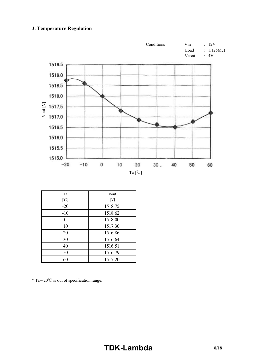# **3. Temperature Regulation**



| Ta<br>[°C] | Vout<br>[V] |
|------------|-------------|
| $-20$      | 1518.75     |
| $-10$      | 1518.62     |
|            | 1518.00     |
| 10         | 1517.30     |
| 20         | 1516.86     |
| 30         | 1516.64     |
| 40         | 1516.51     |
| 50         | 1516.79     |
| 60         | 1517.20     |

\* Ta=20℃ is out of specification range.

# **TDK-Lambda** 8/18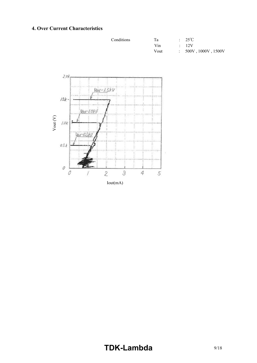# **4. Over Current Characteristics**

| Conditions | Ta   | $: 25^{\circ}C$      |
|------------|------|----------------------|
|            | Vin  | $\cdot$ 12V          |
|            | Vout | : 500V, 1000V, 1500V |



# **TDK-Lambda** 9/18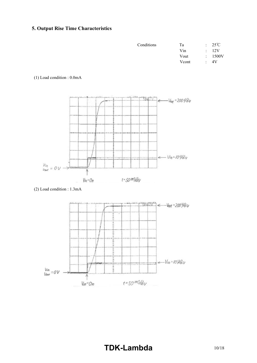# **5. Output Rise Time Characteristics**

| Conditions | Tа    |             | $: 25^{\circ}C$ |
|------------|-------|-------------|-----------------|
|            | Vin   | $\bullet$ . | 12V             |
|            | Vout  |             | : 1500V         |
|            | Vcont | $\bullet$   | 4V              |

#### (1) Load condition : 0.0mA



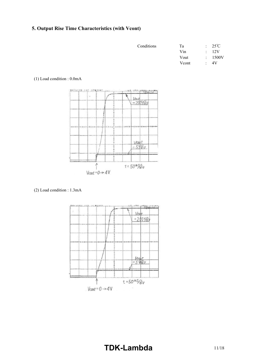# **5. Output Rise Time Characteristics (with Vcont)**

| Conditions | Ta    |        | $: 25^{\circ}C$ |
|------------|-------|--------|-----------------|
|            | Vin   | $\sim$ | 12V             |
|            | Vout  |        | : 1500V         |
|            | Vcont |        | 1V              |

#### (1) Load condition : 0.0mA



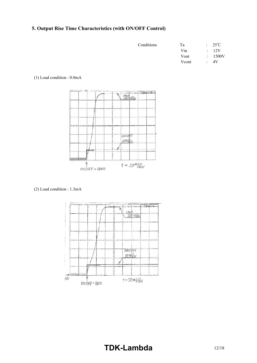# **5. Output Rise Time Characteristics (with ON/OFF Control)**

| Conditions | Тa    |             | $: 25^{\circ}C$ |
|------------|-------|-------------|-----------------|
|            | Vin   | $\bullet$ . | 12V             |
|            | Vout  |             | : 1500V         |
|            | Vcont | $\bullet$   | 4V              |

#### (1) Load condition : 0.0mA



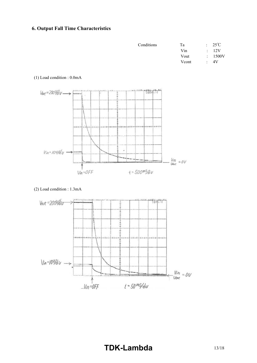# **6. Output Fall Time Characteristics**

| Conditions | Та    |             | $: 25^{\circ}C$ |
|------------|-------|-------------|-----------------|
|            | Vin   | $\bullet$ . | 12V             |
|            | Vout  |             | : 1500V         |
|            | Vcont |             | 4V              |

#### (1) Load condition : 0.0mA



#### (2) Load condition : 1.3mA



# **TDKLambda** 13/18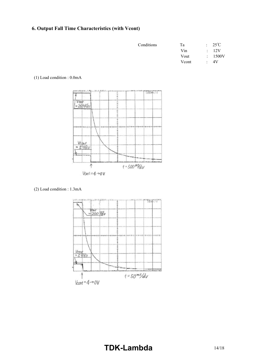# **6. Output Fall Time Characteristics (with Vcont)**

| Conditions | Ta    |             | $: 25^{\circ}C$ |
|------------|-------|-------------|-----------------|
|            | Vin   | $\bullet$ . | 12V             |
|            | Vout  |             | : 1500V         |
|            | Vcont |             | 4V              |

#### (1) Load condition : 0.0mA



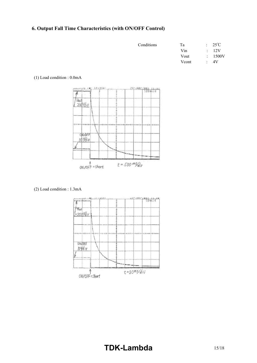# **6. Output Fall Time Characteristics (with ON/OFF Control)**

| Conditions | Та    |        | $: 25^{\circ}C$ |
|------------|-------|--------|-----------------|
|            | Vin   | $\sim$ | 12V             |
|            | Vout  |        | : 1500V         |
|            | Vcont | ٠      | 4V              |

#### (1) Load condition : 0.0mA



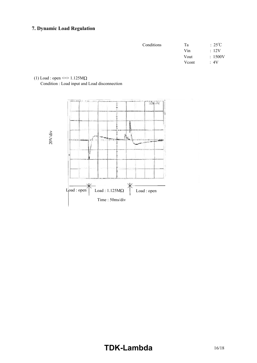# **7. Dynamic Load Regulation**

| Conditions | Tа    | $:25^{\circ}\mathrm{C}$ |
|------------|-------|-------------------------|
|            | Vin   | $\therefore$ 12V        |
|            | Vout  | : 1500V                 |
|            | Vcont | :4V                     |
|            |       |                         |

### (1) Load : open  $\le$  > 1.125M $\Omega$

Condition : Load input and Load disconnection

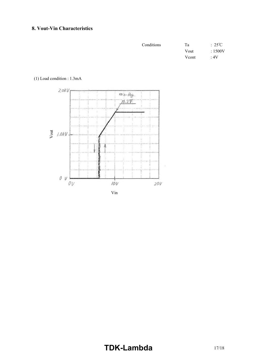#### **8. Vout-Vin Characteristics**

| Conditions | Ta    | $:25^{\circ}C$ |
|------------|-------|----------------|
|            | Vout  | :1500V         |
|            | Vcont | $\cdot 4V$     |